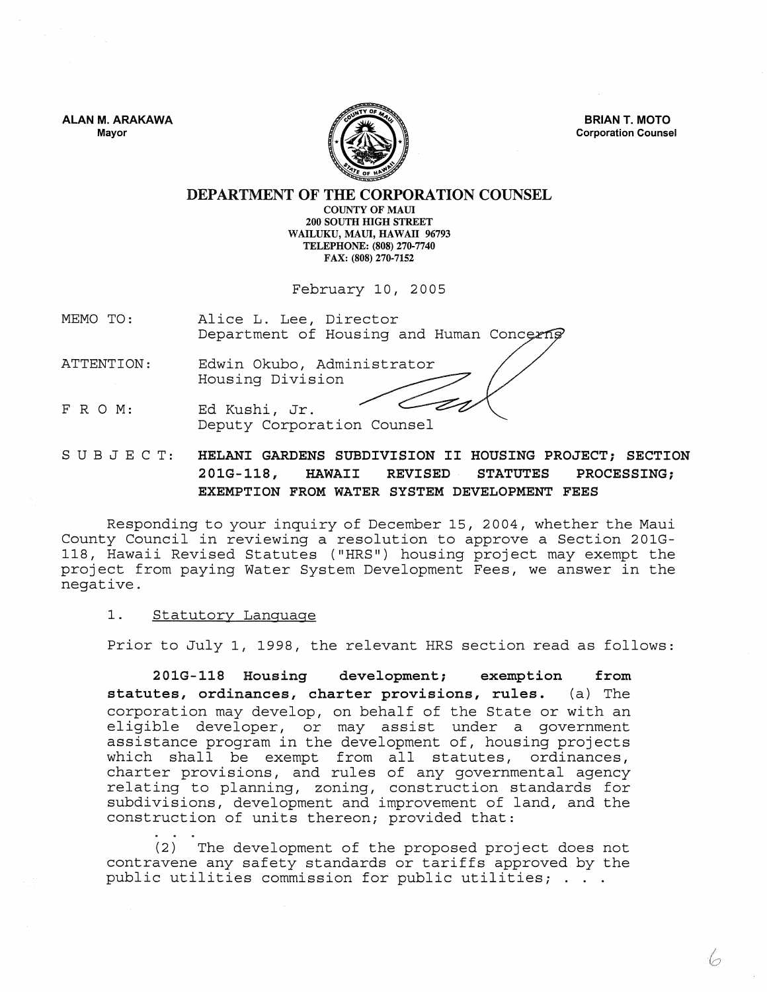ALAN M. ARAKAWA Mayor



BRIAN T. MOTO Corporation Counsel

DEPARTMENT OF THE CORPORATION COUNSEL COUNTY OF MAUL

200 SOUTH HIGH STREET WAILUKU, MAUl, HAWATI 96793 TELEPHONE: (808) 270-7740 FAX: (808) 270·7152

February 10, 2005

MEMO TO: Alice L. Lee, Director Department of Housing and Human Concerns

ATTENTION: Edwin Okubo, Administrator Housing Division

FRO M: Ed Kushi, Jr. Deputy Corporation Counsel

SUBJECT: HELANI GARDENS SUBDIVISION II HOUSING PROJECT; SECTION 201G-118, HAWAII REVISED STATUTES PROCESSING; EXEMPTION FROM WATER SYSTEM DEVELOPMENT FEES

Responding to your inquiry of December 15,2004, whether the Maui County Council in reviewing a resolution to approve a Section 201G-118, Hawaii Revised Statutes ("HRS") housing project may exempt the project from paying Water System Development Fees, we answer in the negative.

## 1. Statutory Language

Prior to July 1, 1998, the relevant HRS section read as follows:

201G-118 Housing development; exemption from statutes, ordinances, charter provisions, rules. (a) The corporation may develop, on behalf of the State or with an eligible developer, or may assist under a government assistance program in the development of, housing projects which shall be exempt from all statutes, ordinances, charter provisions, and rules of any governmental agency relating to planning, zoning, construction standards for subdivisions, development and improvement of land, and the construction of units thereon; provided that:

(2) The development of the proposed project does not contravene any safety standards or tariffs approved by the public utilities commission for public utilities; . . .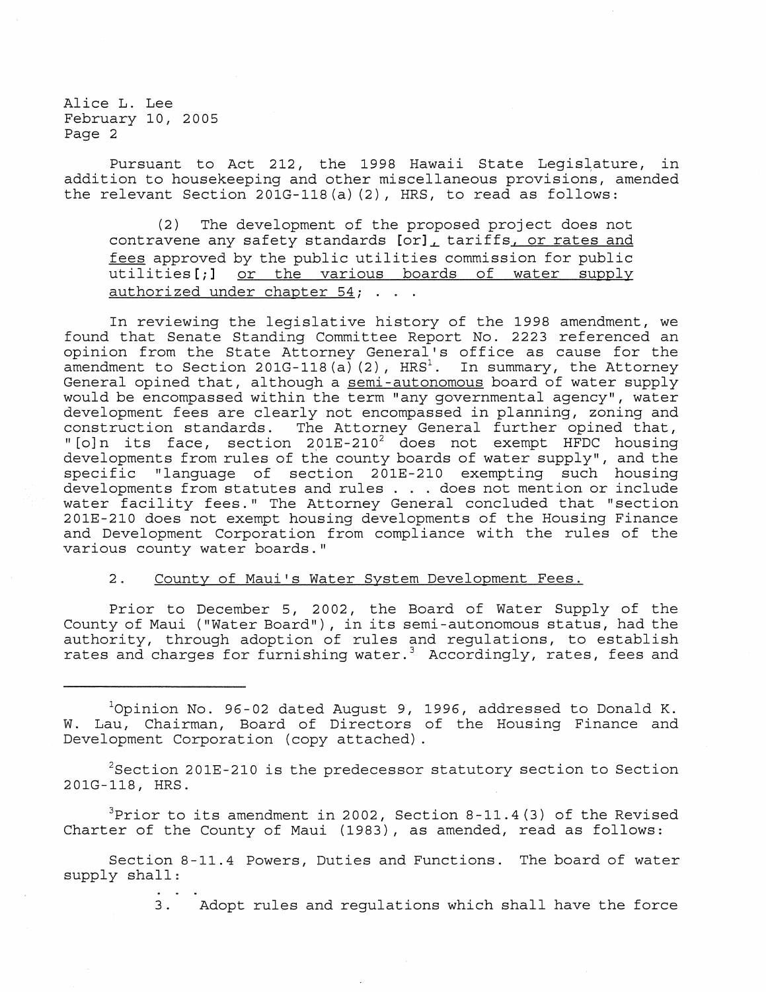Pursuant to Act 212, the 1998 Hawaii State Legislature, in addition to housekeeping and other miscellaneous provisions, amended the relevant Section 201G-118(a) (2), HRS, to read as follows:

(2) The development of the proposed project does not contravene any safety standards [or]~ tariffs, or rates and fees approved by the public utilities commission for public utilities[;] or the various boards of water supply authorized under chapter 54; . . .

In reviewing the legislative history of the 1998 amendment, we found that Senate Standing Committee Report No. 2223 referenced an opinion from the State Attorney General's office as cause for the amendment to Section 201G-118(a)(2),  $HRS<sup>1</sup>$ . In summary, the Attorney General opined that, although a semi-autonomous board of water supply would be encompassed within the term "any governmental agency", water development fees are clearly not encompassed in planning, zoning and<br>construction standards. The Attorney General further opined that, The Attorney General further opined that, " [o]n its face, section 201E-210<sup>2</sup> does not exempt HFDC housing developments from rules of the county boards of water supply", and the specific "language of section 201E-210 exempting such housing developments from statutes and rules . . . does not mention or include water facility fees." The Attorney General concluded that "section 201E-210 does not exempt housing developments of the Housing Finance and Development Corporation from compliance with the rules of the various county water boards."

## 2. County of Maui's Water System Development Fees.

Prior to December 5, 2002, the Board of Water Supply of the County of Maui ("Water Board"), in its semi -autonomous status, had the authority, through adoption of rules and regulations, to establish rates and charges for furnishing water.<sup>3</sup> Accordingly, rates, fees and

 $1$ Opinion No. 96-02 dated August 9, 1996, addressed to Donald K. W. Lau, Chairman, Board of Directors of the Housing Finance and Development Corporation (copy attached) .

 $2$ Section 201E-210 is the predecessor statutory section to Section 201G-118, HRS.

 $3$ Prior to its amendment in 2002, Section 8-11.4(3) of the Revised Charter of the County of Maui (1983), as amended, read as follows:

Section 8-11.4 Powers, Duties and Functions. The board of water supply shall:

3. Adopt rules and regulations which shall have the force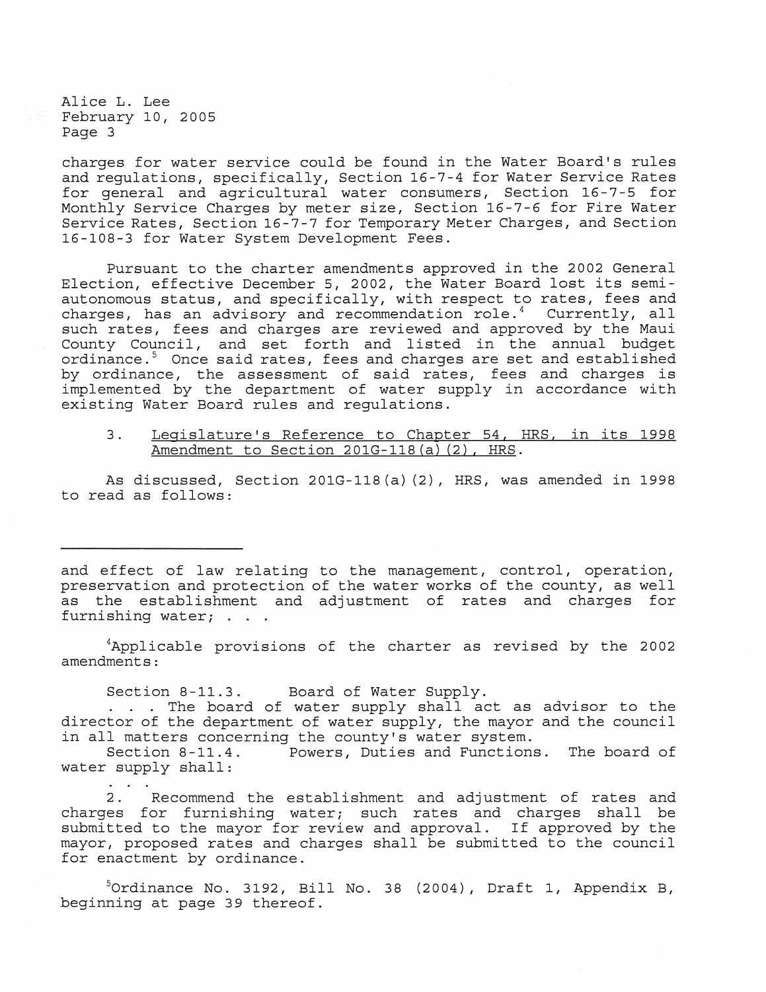charges for water service could be found in the Water Board's rules and regulations, specifically, Section 16-7-4 for Water Service Rates for general and agricultural water consumers, Section 16-7-5 for Monthly Service Charges by meter size, Section 16-7-6 for Fire Water Service Rates, Section 16-7-7 for Temporary Meter Charges, and Section 16-108-3 for Water System Development Fees.

Pursuant to the charter amendments approved in the 2002 General Election, effective December 5, 2002, the Water Board lost its semiautonomous status, and specifically, with respect to rates, fees and charges, has an advisory and recommendation role.<sup>4</sup> Currently, all such rates, fees and charges are reviewed and approved by the Maui County Council, and set forth and listed in the annual budget ordinance.<sup>5</sup> Once said rates, fees and charges are set and established by ordinance, the assessment of said rates, fees and charges is implemented by the department of water supply in accordance with existing Water Board rules and regulations.

3. Legislature's Reference to Chapter 54, HRS, in its 1998 Amendment to Section 201G-118(a) (2), HRS.

As discussed, Section 201G-118(a) (2), HRS, was amended in 1998 to read as follows:

and effect of law relating to the management, control, operation, preservation and protection of the water works of the county, as well as the establishment and adjustment of rates and charges for furnishing water; . . .

<sup>4</sup>Applicable provisions of the charter as revised by the 2002 amendments:

Section 8-11.3. Board of Water Supply.

. . . The board of water supply shall act as advisor to the director of the department of water supply, the mayor and the council in all matters concerning the county's water system.<br>Section 8-11.4. Powers, Duties and Function

Powers, Duties and Functions. The board of water supply shall:

2. Recommend the establishment and adjustment of rates and charges for furnishing water; such rates and charges shall be submitted to the mayor for review and approval. If approved by the mayor, proposed rates and charges shall be submitted to the council for enactment by ordinance.

 $5$ Ordinance No. 3192, Bill No. 38 (2004), Draft 1, Appendix B, beginning at page 39 thereof.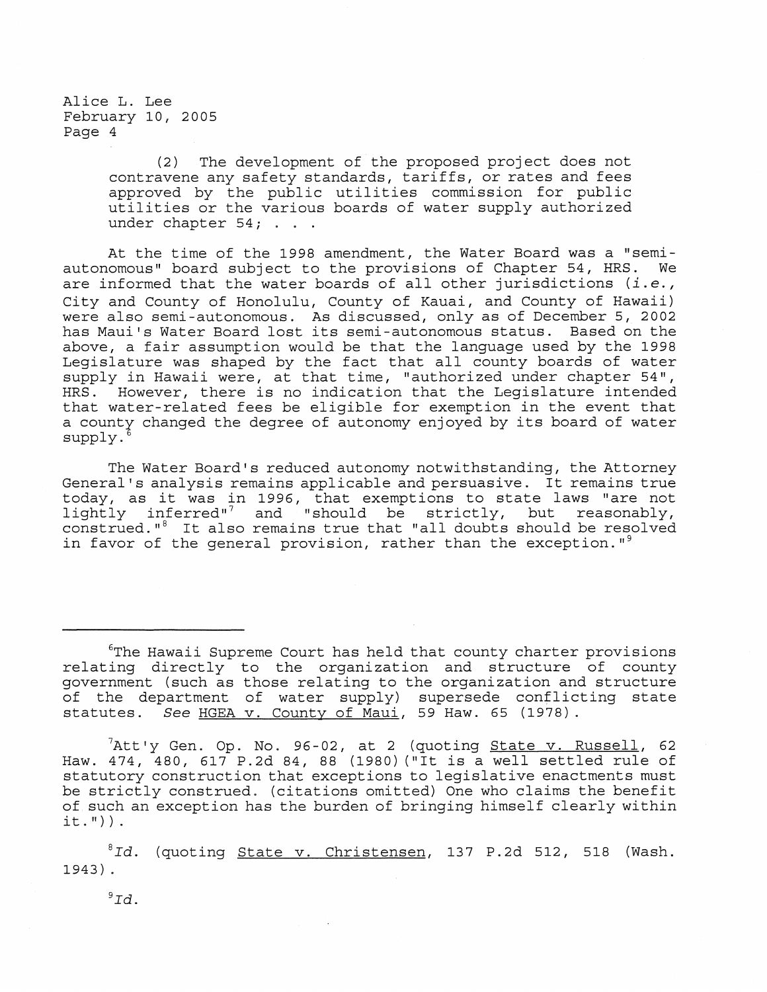> (2) The development of the proposed project does not contravene any safety standards, tariffs, or rates and fees approved by the public utilities commission for public utilities or the various boards of water supply authorized under chapter 54; . . .

At the time of the 1998 amendment, the Water Board was a "semi-<br>lomous" board subject to the provisions of Chapter 54, HRS. We autonomous" board subject to the provisions of Chapter 54, HRS. are informed that the water boards of all other jurisdictions *(i.e.,*  City and County of Honolulu, County of Kauai, and County of Hawaii) were also semi-autonomous. As discussed, only as of December 5, 2002 has Maui's Water Board lost its semi-autonomous status. Based on the above, a fair assumption would be that the language used by the 1998 Legislature was shaped by the fact that all county boards of water supply in Hawaii were, at that time, "authorized under chapter 54", HRS. However, there is no indication that the Legislature intended that water-related fees be eligible for exemption in the event that a county changed the degree of autonomy enjoyed by its board of water supply.

The Water Board's reduced autonomy notwithstanding, the Attorney General's analysis remains applicable and persuasive. It remains true today, as it was in 1996, that exemptions to state laws "are not lightly inferred"? and "should be strictly, but reasonably, construed." $8$  It also remains true that "all doubts should be resolved in favor of the general provision, rather than the exception."<sup>9</sup>

 $6$ The Hawaii Supreme Court has held that county charter provisions relating directly to the organization and structure of county government (such as those relating to the organization and structure of the department of water supply) supersede conflicting state<br>statutes. See HGEA v. County of Maui, 59 Haw. 65 (1978). See HGEA v. County of Maui, 59 Haw. 65 (1978).

 $^{7}$ Att'y Gen. Op. No. 96-02, at 2 (quoting <u>State v. Russell</u>, 62 Haw. 474, 480, 617 P.2d 84, 88 (1980) ("It is a well settled rule of statutory construction that exceptions to legislative enactments must be strictly construed. (citations omitted) One who claims the benefit of such an exception has the burden of bringing himself clearly within it. ") ) .

<sup>8</sup>Id. (quoting <u>State v. Christensen</u>, 137 P.2d 512, 518 (Wash. 1943) .

 $9Td.$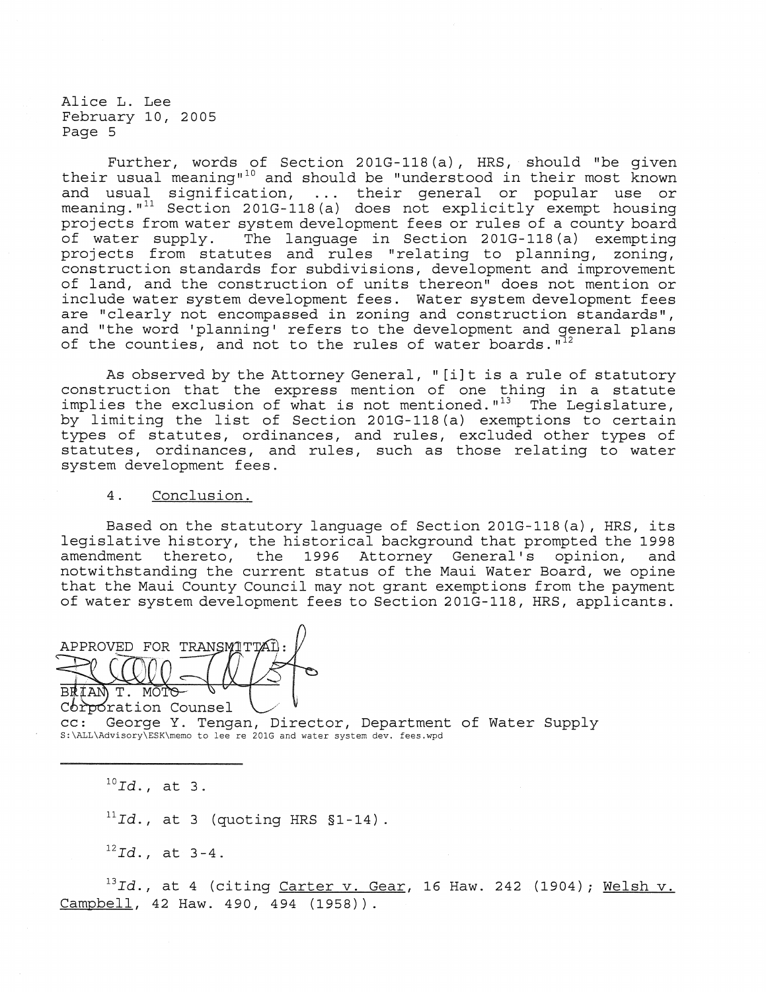Further, words of Section 201G-118(a), HRS, should "be given their usual meaning"<sup>10</sup> and should be "understood in their most known and usual signification, their general or popular use or meaning."<sup>11</sup> Section 201G-118(a) does not explicitly exempt housing projects from water system development fees or rules of a county board of water supply. The language in Section 201G-118 (a) exempting projects from statutes and rules "relating to planning, zoning, construction standards for subdivisions, development and improvement of land, and the construction of units thereon" does not mention or include water system development fees. Water system development fees are "clearly not encompassed in zoning and construction standards", and "the word 'planning' refers to the development and general plans of the counties, and not to the rules of water boards.  $I^{12}$ 

As observed by the Attorney General, "[i]t is a rule of statutory construction that the express mention of one thing in a statute implies the exclusion of what is not mentioned. "13 The Legislature, by limiting the list of Section 201G-118 (a) exemptions to certain types of statutes, ordinances, and rules, excluded other types of statutes, ordinances, and rules, such as those relating to water system development fees.

## 4. Conclusion.

Based on the statutory language of Section 201G-118(a), HRS, its legislative history, the historical background that prompted the 1998<br>amendment thereto, the 1996 Attorney General's opinion, and amendment thereto, the 1996 Attorney General's opinion, notwithstanding the current status of the Maui Water Board, we opine that the Maui County Council may not grant exemptions from the payment of water system development fees to Section 201G-118, HRS, applicants.

APPROVED FOR TRANSMITTAT BRIAN T. MOTO V

CC: George Y. Tengan, Director, Department of Water Supply<br>S:\ALL\Advisory\ESK\memo to lee re 201G and water system dev. fees.wpd

<sup>10</sup> Id., at 3.

 $11$ *Id.*, at 3 (quoting HRS  $$1-14$ ).

*<sup>12</sup> <sup>I</sup> d.,* at 3-4.

<sup>13</sup>Id., at 4 (citing <u>Carter v. Gear</u>, 16 Haw. 242 (1904); Welsh v. Campbell, 42 Haw. 490, 494 (1958)).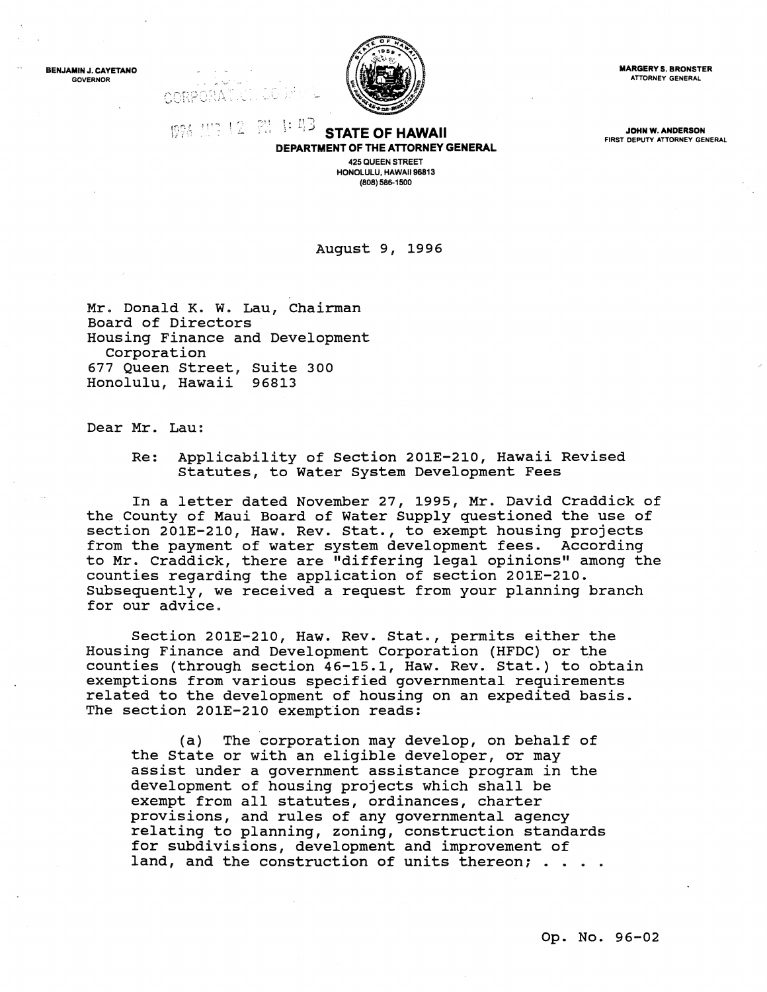BENJAMIN J. CAYETANO GOVERNOR



**MARGERY S. BRONSTER** ATTORNEY GENERAL

FIRST DEPUTY ATTORNEY GENERAL

 $19\%$   $11\%$   $2$   $2\%$   $1:$   $4\%$  **STATE OF HAWAII The communication** of the state of the state of  $\frac{1}{2}$ DEPARTMENT OF THE ATTORNEY GENERAL 425 QUEEN STREET

HONOLULU, HAWAII 96813 (808) 586-1500

August 9, 1996

Mr. Donald K. W. Lau, Chairman Board of Directors Housing Finance and Development Corporation 677 Queen street, suite 300 Honolulu, Hawaii 96813

CORPORA

Dear Mr. Lau:

Re: Applicability of Section 201E-210, Hawaii Revised Statutes, to Water System Development Fees

In a letter dated November 27, 1995, Mr. David Craddick of the County of Maui Board of Water Supply questioned the use of section 201E-210, Haw. Rev. Stat., to exempt housing projects<br>from the payment of water system development fees. According from the payment of water system development fees. to Mr. Craddick, there are "differing legal opinions" among the counties regarding the application of section 201E-210. Subsequently, we received a request from your planning branch for our advice.

Section 201E-210, Haw. Rev. Stat., permits either the Housing Finance and Development Corporation (HFDC) or ~he counties (through section 46-15.1, Haw. Rev. Stat.) to obtain exemptions from various specified governmental requirements related to the development of housing on an expedited basis. The section 201E-210 exemption reads:

(a) The corporation may develop, on behalf of the State or with an eligible developer, or may assist under a government assistance program in the development of housing projects which shall be exempt from all statutes, ordinances, charter provisions, and rules of any governmental agency relating to planning, zoning, construction standards for subdivisions, development and improvement of land, and the construction of units thereon; . .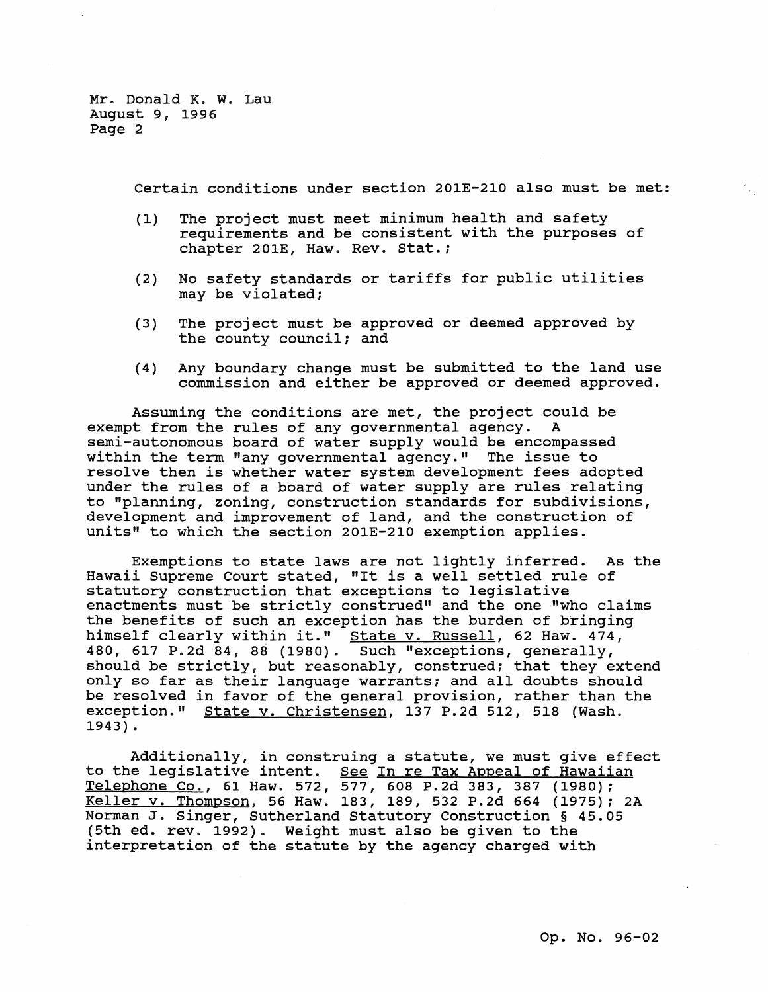Mr. Donald K. W. Lau August 9, 1996 Page 2

certain conditions under section 201E-210 also must be met:

- (1) The project must meet minimum health and safety requirements and be consistent with the purposes of chapter 201E, Haw. Rev. stat.;
- (2) No safety standards or tariffs for public utilities may be violated;
- (3) The project must be approved or deemed approved by the county council; and
- (4) Any boundary change must be submitted to the land use commission and either be approved or deemed approved.

Assuming the conditions are met, the project could be exempt from the rules of any governmental agency. A semi-autonomous board of water supply would be encompassed within the term "any governmental agency." The issue to resolve then is whether water system development fees adopted under the rules of a board of water supply are rules relating to "planning, zoning, construction standards for subdivisions, development and improvement of land, and the construction of units" to which the section 201E-210 exemption applies.

Exemptions to state laws are not lightly inferred. As the Hawaii Supreme Court stated, "It is a well settled rule of statutory construction that exceptions to legislative enactments must be strictly construed" and the one "who claims the benefits of such an exception has the burden of bringing himself clearly within it." State v. Russell, 62 Haw. 474, 480, 617 P.2d 84, 88 (1980). Such "exceptions, generally, should be strictly, but reasonably, construed; that they extend only so far as their language warrants; and all doubts should be resolved in favor of the general provision, rather than the exception." state v. Christensen, 137 P.2d 512, 518 (Wash. 1943) .

Additionally, in construing a statute, we must give effect to the legislative intent. See In re Tax Appeal of Hawaiian Telephone Co., 61 Haw. 572, 577, 608 P.2d 383, 387 (1980); Keller v. Thompson, 56 Haw. 183, 189, 532 P.2d 664 (1975); 2A Norman J. Singer, Sutherland Statutory Construction § 45.05 (5th ed. rev. 1992). Weight must also be given to the interpretation of the statute by the agency charged with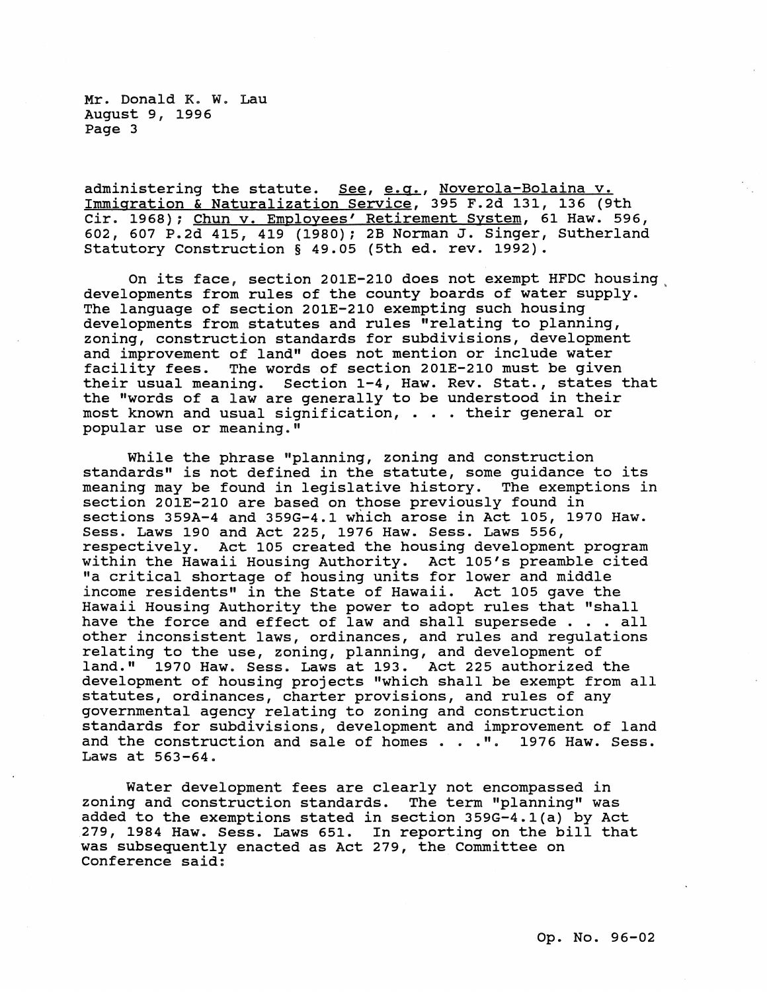Mr. Donald K. W. Lau August 9, 1996 Page 3

administering the statute. See, e.g., Noverola-Bolaina v. Immigration & Naturalization Service, 395 F.2d 131, 136 (9th Cir. 1968); Chun v. Employees' Retirement System, 61 Haw. 596, 602, 607 P.2d 415, 419 (1980); 2B Norman J. Singer, Sutherland Statutory Construction § 49.05 (5th ed. rev. 1992).

On its face, section 201E-210 does not exempt HFDC housing, developments from rules of the county boards of water supply. The language of section 201E-210 exempting such housing developments from statutes and rules "relating to planning, zoning, construction standards for subdivisions, development and improvement of land" does not mention or include water facility fees. The words of section 201E-210 must be given their usual meaning. section 1-4, Haw. Rev. Stat., states that the "words of a law are generally to be understood in their most known and usual signification, . . . their general or popular use or meaning."

While the phrase "planning, zoning and construction standards" is not defined in the statute, some guidance to its meaning may be found in legislative history. The exemptions in section 201E-210 are based on those previously found in sections 359A-4 and 359G-4.1 which arose in Act 105, 1970 Haw. Sess. Laws 190 and Act 225, 1976 Haw. Sess. Laws 556, respectively. Act 105 created the housing development program within the Hawaii Housing Authority. Act 105's preamble cited "a critical shortage of housing units for lower and middle income residents" in the State of Hawaii. Act 105 gave the Hawaii Housing Authority the power to adopt rules that "shall have the force and effect of law and shall supersede . . . all other inconsistent laws, ordinances, and rules and regulations relating to the use, zoning, planning, and development of land." 1970 Haw. Sess. Laws at 193. Act 225 authorized the development of housing projects "which shall be exempt from all statutes, ordinances, charter provisions, and rules of any governmental agency relating to zoning and construction governmented agency relating to zoning and construction<br>standards for subdivisions, development and improvement of land<br>and the construction and sale of homes . . .". 1976 Haw. Sess. and the construction and sale of homes  $\ldots$  .". 1976 Haw. Sess.<br>Laws at 563-64.

Water development fees are clearly not encompassed in zoning and construction standards. The term "planning" was added to the exemptions stated in section 359G-4.1(a) by Act 279, 1984 Haw. Sess. Laws 651. In reporting on the bill that was subsequently enacted as Act 279, the Committee on Conference said: